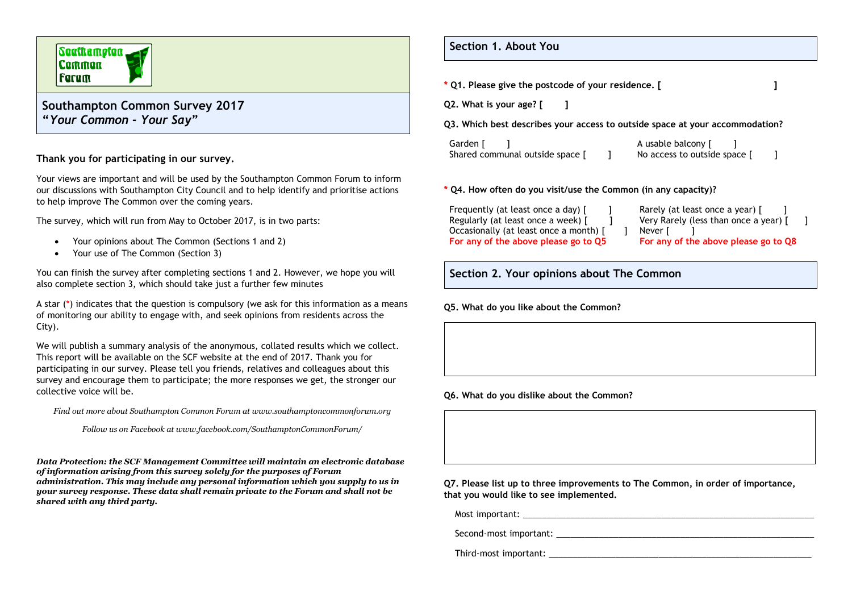# Southampton **Common** | Faram

## **Southampton Common Survey 2017 "***Your Common - Your Say***"**

### **Thank you for participating in our survey.**

Your views are important and will be used by the Southampton Common Forum to inform our discussions with Southampton City Council and to help identify and prioritise actions to help improve The Common over the coming years.

The survey, which will run from May to October 2017, is in two parts:

- Your opinions about The Common (Sections 1 and 2)
- Your use of The Common (Section 3)

You can finish the survey after completing sections 1 and 2. However, we hope you will also complete section 3, which should take just a further few minutes

A star (\*) indicates that the question is compulsory (we ask for this information as a means of monitoring our ability to engage with, and seek opinions from residents across the City).

We will publish a summary analysis of the anonymous, collated results which we collect. This report will be available on the SCF website at the end of 2017. Thank you for participating in our survey. Please tell you friends, relatives and colleagues about this survey and encourage them to participate; the more responses we get, the stronger our collective voice will be.

*Find out more about Southampton Common Forum at www.southamptoncommonforum.org*

*Follow us on Facebook at www.facebook.com/SouthamptonCommonForum/*

*Data Protection: the SCF Management Committee will maintain an electronic database of information arising from this survey solely for the purposes of Forum administration. This may include any personal information which you supply to us in your survey response. These data shall remain private to the Forum and shall not be shared with any third party.*

**Section 1. About You**

- **\* Q1. Please give the postcode of your residence. [ ]**
- **Q2. What is your age? [ ]**

**Q3. Which best describes your access to outside space at your accommodation?**

| Garden [                        | A usable balcony [           |  |
|---------------------------------|------------------------------|--|
| Shared communal outside space [ | No access to outside space [ |  |

#### **\* Q4. How often do you visit/use the Common (in any capacity)?**

| Frequently (at least once a day) [     |  |
|----------------------------------------|--|
| Regularly (at least once a week) [     |  |
| Occasionally (at least once a month) [ |  |
| For any of the above please go to Q5   |  |

Rarely (at least once a year) [ Very Rarely (less than once a year) [ ] 1 Never [ ] **For any of the above please go to Q8**

### **Section 2. Your opinions about The Common**

**Q5. What do you like about the Common?**

**Q6. What do you dislike about the Common?**

**Q7. Please list up to three improvements to The Common, in order of importance, that you would like to see implemented.**

Most important:

Second-most important:  $\blacksquare$ 

Third-most important: \_\_\_\_\_\_\_\_\_\_\_\_\_\_\_\_\_\_\_\_\_\_\_\_\_\_\_\_\_\_\_\_\_\_\_\_\_\_\_\_\_\_\_\_\_\_\_\_\_\_\_\_\_\_\_